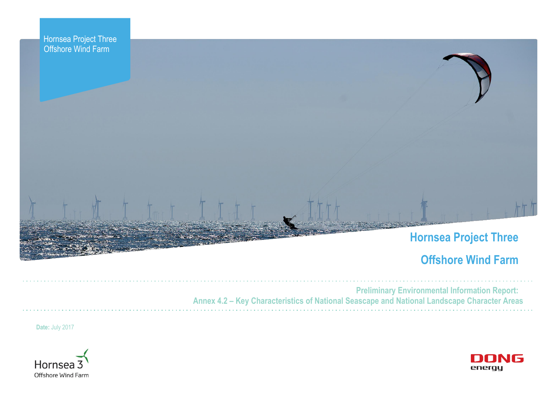



# **Hornsea Project Three**

# **Offshore Wind Farm**



**Preliminary Environmental Information Report: Annex 4.2 – Key Characteristics of National Seascape and National Landscape Character Areas**

**Date:** July 2017



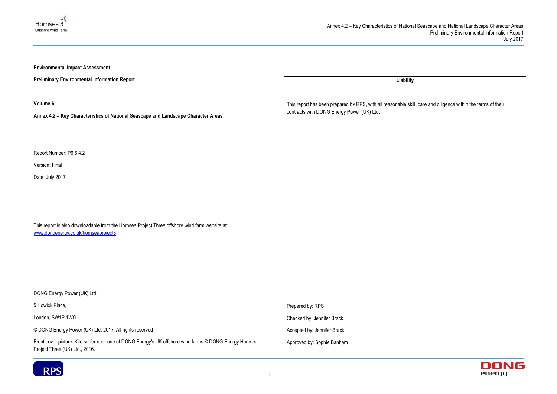



**Environmental Impact Assessment** 

**Preliminary Environmental Information Report**

**Volume 6**

**Annex 4.2 – Key Characteristics of National Seascape and Landscape Character Areas**

Report Number: P6.6.4.2

Version: Final

Date: July 2017

This report is also downloadable from the Hornsea Project Three offshore wind farm website at: www.dongenergy.co.uk/hornseaproject3

| DONG Energy Power (UK) Ltd.                                                                                                               |                             |
|-------------------------------------------------------------------------------------------------------------------------------------------|-----------------------------|
| 5 Howick Place,                                                                                                                           | Prepared by: RPS            |
| London, SW1P 1WG                                                                                                                          | Checked by: Jennifer Brack  |
| © DONG Energy Power (UK) Ltd. 2017. All rights reserved                                                                                   | Accepted by: Jennifer Brack |
| Front cover picture: Kite surfer near one of DONG Energy's UK offshore wind farms © DONG Energy Hornsea<br>Project Three (UK) Ltd., 2016. | Approved by: Sophie Banham  |



**Liability**

This report has been prepared by RPS, with all reasonable skill, care and diligence within the terms of their contracts with DONG Energy Power (UK) Ltd.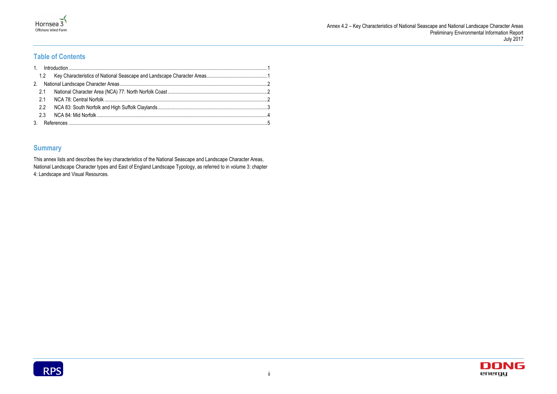



## **Table of Contents**

### **Summary**

This annex lists and describes the key characteristics of the National Seascape and Landscape Character Areas, National Landscape Character types and East of England Landscape Typology, as referred to in volume 3: chapter 4: Landscape and Visual Resources.

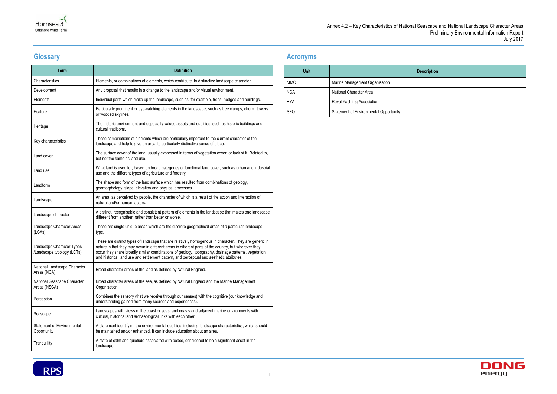

## **Glossary**

| <b>Term</b>                                             | <b>Definition</b>                                                                                                                                                                                                                                                                                                                                                                                                  |
|---------------------------------------------------------|--------------------------------------------------------------------------------------------------------------------------------------------------------------------------------------------------------------------------------------------------------------------------------------------------------------------------------------------------------------------------------------------------------------------|
| Characteristics                                         | Elements, or combinations of elements, which contribute to distinctive landscape character.                                                                                                                                                                                                                                                                                                                        |
| Development                                             | Any proposal that results in a change to the landscape and/or visual environment.                                                                                                                                                                                                                                                                                                                                  |
| Elements                                                | Individual parts which make up the landscape, such as, for example, trees, hedges and buildings.                                                                                                                                                                                                                                                                                                                   |
| Feature                                                 | Particularly prominent or eye-catching elements in the landscape, such as tree clumps, church towers<br>or wooded skylines.                                                                                                                                                                                                                                                                                        |
| Heritage                                                | The historic environment and especially valued assets and qualities, such as historic buildings and<br>cultural traditions.                                                                                                                                                                                                                                                                                        |
| Key characteristics                                     | Those combinations of elements which are particularly important to the current character of the<br>landscape and help to give an area its particularly distinctive sense of place.                                                                                                                                                                                                                                 |
| Land cover                                              | The surface cover of the land, usually expressed in terms of vegetation cover, or lack of it. Related to,<br>but not the same as land use.                                                                                                                                                                                                                                                                         |
| Land use                                                | What land is used for, based on broad categories of functional land cover, such as urban and industrial<br>use and the different types of agriculture and forestry.                                                                                                                                                                                                                                                |
| Landform                                                | The shape and form of the land surface which has resulted from combinations of geology,<br>geomorphology, slope, elevation and physical processes.                                                                                                                                                                                                                                                                 |
| Landscape                                               | An area, as perceived by people, the character of which is a result of the action and interaction of<br>natural and/or human factors.                                                                                                                                                                                                                                                                              |
| Landscape character                                     | A distinct, recognisable and consistent pattern of elements in the landscape that makes one landscape<br>different from another, rather than better or worse.                                                                                                                                                                                                                                                      |
| Landscape Character Areas<br>(LCAs)                     | These are single unique areas which are the discrete geographical areas of a particular landscape<br>type.                                                                                                                                                                                                                                                                                                         |
| Landscape Character Types<br>/Landscape typology (LCTs) | These are distinct types of landscape that are relatively homogenous in character. They are generic in<br>nature in that they may occur in different areas in different parts of the country, but wherever they<br>occur they share broadly similar combinations of geology, topography, drainage patterns, vegetation<br>and historical land use and settlement pattern, and perceptual and aesthetic attributes. |
| National Landscape Character<br>Areas (NCA)             | Broad character areas of the land as defined by Natural England.                                                                                                                                                                                                                                                                                                                                                   |
| National Seascape Character<br>Areas (NSCA)             | Broad character areas of the sea, as defined by Natural England and the Marine Management<br>Organisation                                                                                                                                                                                                                                                                                                          |
| Perception                                              | Combines the sensory (that we receive through our senses) with the cognitive (our knowledge and<br>understanding gained from many sources and experiences).                                                                                                                                                                                                                                                        |
| Seascape                                                | Landscapes with views of the coast or seas, and coasts and adjacent marine environments with<br>cultural, historical and archaeological links with each other.                                                                                                                                                                                                                                                     |
| Statement of Environmental<br>Opportunity               | A statement identifying the environmental qualities, including landscape characteristics, which should<br>be maintained and/or enhanced. It can include education about an area.                                                                                                                                                                                                                                   |
| Tranquillity                                            | A state of calm and quietude associated with peace, considered to be a significant asset in the<br>landscape.                                                                                                                                                                                                                                                                                                      |

### **Acronyms**





| <b>Unit</b> | D                                             |  |
|-------------|-----------------------------------------------|--|
| <b>MMO</b>  | Marine Management Organisation                |  |
| <b>NCA</b>  | National Character Area                       |  |
| <b>RYA</b>  | Royal Yachting Association                    |  |
| SEO         | <b>Statement of Environmental Opportunity</b> |  |

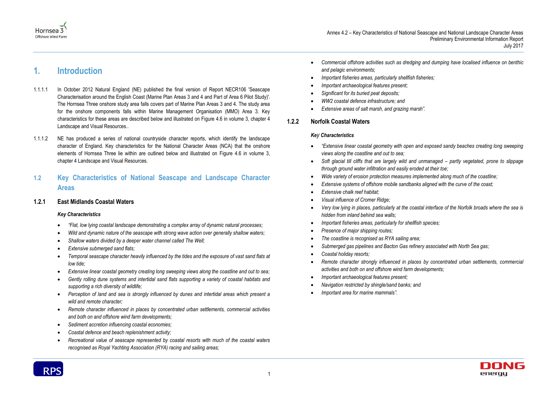

## <span id="page-4-0"></span>**1. Introduction**

- 1.1.1.1 In October 2012 Natural England (NE) published the final version of Report NECR106 'Seascape Characterisation around the English Coast (Marine Plan Areas 3 and 4 and Part of Area 6 Pilot Study)'. The Hornsea Three onshore study area falls covers part of Marine Plan Areas 3 and 4. The study area for the onshore components falls within Marine Management Organisation (MMO) Area 3. Key characteristics for these areas are described below and illustrated on Figure 4.6 in volume 3, chapter 4 Landscape and Visual Resources..
- 1.1.1.2 NE has produced a series of national countryside character reports, which identify the landscape character of England. Key characteristics for the National Character Areas (NCA) that the onshore elements of Hornsea Three lie within are outlined below and illustrated on Figure 4.6 in volume 3, chapter 4 Landscape and Visual Resources.

### <span id="page-4-1"></span>**1.2 Key Characteristics of National Seascape and Landscape Character Areas**

#### **1.2.1 East Midlands Coastal Waters**

#### *Key Characteristics*

- *"Flat, low lying coastal landscape demonstrating a complex array of dynamic natural processes;*
- *Wild and dynamic nature of the seascape with strong wave action over generally shallow waters;*
- *Shallow waters divided by a deeper water channel called The Well;*
- *Extensive submerged sand flats;*
- *Temporal seascape character heavily influenced by the tides and the exposure of vast sand flats at low tide;*
- *Extensive linear coastal geometry creating long sweeping views along the coastline and out to sea;*
- *Gently rolling dune systems and intertidal sand flats supporting a variety of coastal habitats and supporting a rich diversity of wildlife;*
- *Perception of land and sea is strongly influenced by dunes and intertidal areas which present a wild and remote character;*
- *Remote character influenced in places by concentrated urban settlements, commercial activities and both on and offshore wind farm developments;*
- *Sediment accretion influencing coastal economies;*
- *Coastal defence and beach replenishment activity;*
- *Recreational value of seascape represented by coastal resorts with much of the coastal waters recognised as Royal Yachting Association (RYA) racing and sailing areas;*

*Commercial offshore activities such as dredging and dumping have localised influence on benthic* 

- *and pelagic environments;*
- *Important fisheries areas, particularly shellfish fisheries;*
- *Important archaeological features present;*
- *Significant for its buried peat deposits;*
- *WW2 coastal defence infrastructure; and*
- *Extensive areas of salt marsh, and grazing marsh".*

#### **1.2.2 Norfolk Coastal Waters**

#### *Key Characteristics*

*"Extensive linear coastal geometry with open and exposed sandy beaches creating long sweeping* 

*Soft glacial till cliffs that are largely wild and unmanaged – partly vegetated, prone to slippage* 

*Very low lying in places, particularly at the coastal interface of the Norfolk broads where the sea is* 

- *views along the coastline and out to sea;*
- *through ground water infiltration and easily eroded at their toe;*
- *Wide variety of erosion protection measures implemented along much of the coastline;*
- *Extensive systems of offshore mobile sandbanks aligned with the curve of the coast;*
- *Extensive chalk reef habitat;*
- *Visual influence of Cromer Ridge;*
- *hidden from inland behind sea walls;*
- *Important fisheries areas, particularly for shellfish species;*
- *Presence of major shipping routes;*
- *The coastline is recognised as RYA sailing area;*
- *Submerged gas pipelines and Bacton Gas refinery associated with North Sea gas;*
- *Coastal holiday resorts;*
- *activities and both on and offshore wind farm developments;*
- *Important archaeological features present;*
- *Navigation restricted by shingle/sand banks; and*
- *Important area for marine mammals".*



*Remote character strongly influenced in places by concentrated urban settlements, commercial* 

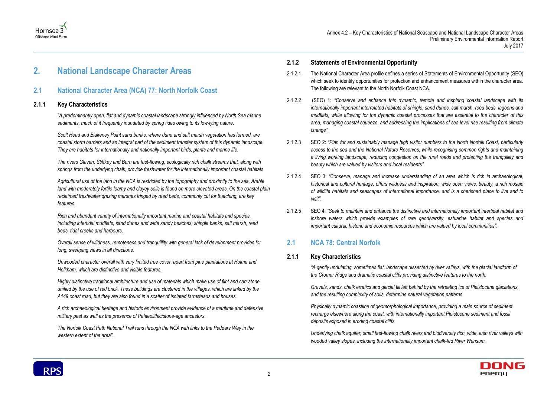



# <span id="page-5-0"></span>**2. National Landscape Character Areas**

### <span id="page-5-1"></span>**2.1 National Character Area (NCA) 77: North Norfolk Coast**

#### **2.1.1 Key Characteristics**

*"A predominantly open, flat and dynamic coastal landscape strongly influenced by North Sea marine sediments, much of it frequently inundated by spring tides owing to its low-lying nature.*

*Scolt Head and Blakeney Point sand banks, where dune and salt marsh vegetation has formed, are coastal storm barriers and an integral part of the sediment transfer system of this dynamic landscape. They are habitats for internationally and nationally important birds, plants and marine life.*

*The rivers Glaven, Stiffkey and Burn are fast-flowing, ecologically rich chalk streams that, along with springs from the underlying chalk, provide freshwater for the internationally important coastal habitats.*

*Agricultural use of the land in the NCA is restricted by the topography and proximity to the sea. Arable land with moderately fertile loamy and clayey soils is found on more elevated areas. On the coastal plain reclaimed freshwater grazing marshes fringed by reed beds, commonly cut for thatching, are key features.*

*Rich and abundant variety of internationally important marine and coastal habitats and species, including intertidal mudflats, sand dunes and wide sandy beaches, shingle banks, salt marsh, reed beds, tidal creeks and harbours.*

*Overall sense of wildness, remoteness and tranquillity with general lack of development provides for long, sweeping views in all directions.*

*Unwooded character overall with very limited tree cover, apart from pine plantations at Holme and Holkham, which are distinctive and visible features.*

*Highly distinctive traditional architecture and use of materials which make use of flint and carr stone, unified by the use of red brick. These buildings are clustered in the villages, which are linked by the A149 coast road, but they are also found in a scatter of isolated farmsteads and houses.*

*A rich archaeological heritage and historic environment provide evidence of a maritime and defensive military past as well as the presence of Palaeolithic/stone-age ancestors.*

*The Norfolk Coast Path National Trail runs through the NCA with links to the Peddars Way in the western extent of the area".*

#### **2.1.2 Statements of Environmental Opportunity**

- 2.1.2.1 The National Character Area profile defines a series of Statements of Environmental Opportunity (SEO) which seek to identify opportunities for protection and enhancement measures within the character area. The following are relevant to the North Norfolk Coast NCA.
- 2.1.2.2 (SEO) 1: *"Conserve and enhance this dynamic, remote and inspiring coastal landscape with its internationally important interrelated habitats of shingle, sand dunes, salt marsh, reed beds, lagoons and mudflats, while allowing for the dynamic coastal processes that are essential to the character of this area, managing coastal squeeze, and addressing the implications of sea level rise resulting from climate change"*.
- 2.1.2.3 SEO 2: *"Plan for and sustainably manage high visitor numbers to the North Norfolk Coast, particularly access to the sea and the National Nature Reserves, while recognising common rights and maintaining a living working landscape, reducing congestion on the rural roads and protecting the tranquillity and beauty which are valued by visitors and local residents"*.
- 2.1.2.4 SEO 3: *"Conserve, manage and increase understanding of an area which is rich in archaeological, historical and cultural heritage, offers wildness and inspiration, wide open views, beauty, a rich mosaic of wildlife habitats and seascapes of international importance, and is a cherished place to live and to visit"*.
- 2.1.2.5 SEO 4: *"Seek to maintain and enhance the distinctive and internationally important intertidal habitat and inshore waters which provide examples of rare geodiversity, estuarine habitat and species and important cultural, historic and economic resources which are valued by local communities"*.

### <span id="page-5-2"></span>**2.1 NCA 78: Central Norfolk**

#### **2.1.1 Key Characteristics**

*"A gently undulating, sometimes flat, landscape dissected by river valleys, with the glacial landform of the Cromer Ridge and dramatic coastal cliffs providing distinctive features to the north.*

*Gravels, sands, chalk erratics and glacial till left behind by the retreating ice of Pleistocene glaciations, and the resulting complexity of soils, determine natural vegetation patterns.*

*Physically dynamic coastline of geomorphological importance, providing a main source of sediment recharge elsewhere along the coast, with internationally important Pleistocene sediment and fossil deposits exposed in eroding coastal cliffs.*

*Underlying chalk aquifer, small fast-flowing chalk rivers and biodiversity rich, wide, lush river valleys with wooded valley slopes, including the internationally important chalk-fed River Wensum.*

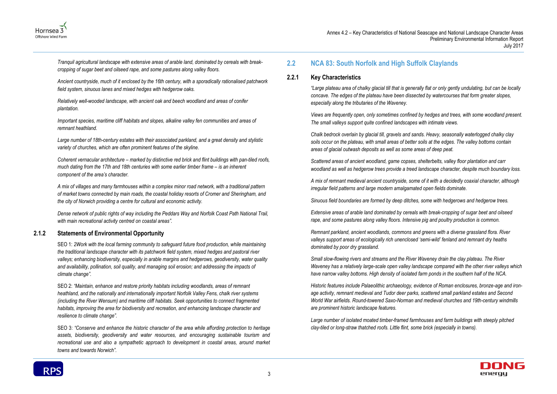





*Tranquil agricultural landscape with extensive areas of arable land, dominated by cereals with breakcropping of sugar beet and oilseed rape, and some pastures along valley floors.*

*Ancient countryside, much of it enclosed by the 16th century, with a sporadically rationalised patchwork field system, sinuous lanes and mixed hedges with hedgerow oaks.*

*Relatively well-wooded landscape, with ancient oak and beech woodland and areas of conifer plantation.*

*Important species, maritime cliff habitats and slopes, alkaline valley fen communities and areas of remnant heathland.*

*Large number of 18th-century estates with their associated parkland, and a great density and stylistic variety of churches, which are often prominent features of the skyline.*

*Coherent vernacular architecture – marked by distinctive red brick and flint buildings with pan-tiled roofs, much dating from the 17th and 18th centuries with some earlier timber frame – is an inherent component of the area's character.*

*A mix of villages and many farmhouses within a complex minor road network, with a traditional pattern of market towns connected by main roads, the coastal holiday resorts of Cromer and Sheringham, and the city of Norwich providing a centre for cultural and economic activity.*

*Dense network of public rights of way including the Peddars Way and Norfolk Coast Path National Trail, with main recreational activity centred on coastal areas".*

#### **2.1.2 Statements of Environmental Opportunity**

SEO 1: *2Work with the local farming community to safeguard future food production, while maintaining the traditional landscape character with its patchwork field system, mixed hedges and pastoral river valleys; enhancing biodiversity, especially in arable margins and hedgerows, geodiversity, water quality and availability, pollination, soil quality, and managing soil erosion; and addressing the impacts of climate change".*

SEO 2: *"Maintain, enhance and restore priority habitats including woodlands, areas of remnant heathland, and the nationally and internationally important Norfolk Valley Fens, chalk river systems (including the River Wensum) and maritime cliff habitats. Seek opportunities to connect fragmented habitats, improving the area for biodiversity and recreation, and enhancing landscape character and resilience to climate change".*

SEO 3: *"Conserve and enhance the historic character of the area while affording protection to heritage assets, biodiversity, geodiversity and water resources, and encouraging sustainable tourism and recreational use and also a sympathetic approach to development in coastal areas, around market towns and towards Norwich"*.

## <span id="page-6-0"></span>**2.2 NCA 83: South Norfolk and High Suffolk Claylands**

#### **2.2.1 Key Characteristics**

*"Large plateau area of chalky glacial till that is generally flat or only gently undulating, but can be locally concave. The edges of the plateau have been dissected by watercourses that form greater slopes, especially along the tributaries of the Waveney.*

*Views are frequently open, only sometimes confined by hedges and trees, with some woodland present. The small valleys support quite confined landscapes with intimate views.*

*Chalk bedrock overlain by glacial till, gravels and sands. Heavy, seasonally waterlogged chalky clay soils occur on the plateau, with small areas of better soils at the edges. The valley bottoms contain areas of glacial outwash deposits as well as some areas of deep peat.*

*Scattered areas of ancient woodland, game copses, shelterbelts, valley floor plantation and carr woodland as well as hedgerow trees provide a treed landscape character, despite much boundary loss.*

*A mix of remnant medieval ancient countryside, some of it with a decidedly coaxial character, although irregular field patterns and large modern amalgamated open fields dominate.*

*Sinuous field boundaries are formed by deep ditches, some with hedgerows and hedgerow trees.*

*Extensive areas of arable land dominated by cereals with break-cropping of sugar beet and oilseed rape, and some pastures along valley floors. Intensive pig and poultry production is common.*

*Remnant parkland, ancient woodlands, commons and greens with a diverse grassland flora. River valleys support areas of ecologically rich unenclosed 'semi-wild' fenland and remnant dry heaths dominated by poor dry grassland.*

*Small slow-flowing rivers and streams and the River Waveney drain the clay plateau. The River Waveney has a relatively large-scale open valley landscape compared with the other river valleys which have narrow valley bottoms. High density of isolated farm ponds in the southern half of the NCA.*

*Historic features include Palaeolithic archaeology, evidence of Roman enclosures, bronze-age and ironage activity, remnant medieval and Tudor deer parks, scattered small parkland estates and Second World War airfields. Round-towered Saxo-Norman and medieval churches and 19th-century windmills are prominent historic landscape features.*

*Large number of isolated moated timber-framed farmhouses and farm buildings with steeply pitched clay-tiled or long-straw thatched roofs. Little flint, some brick (especially in towns).*

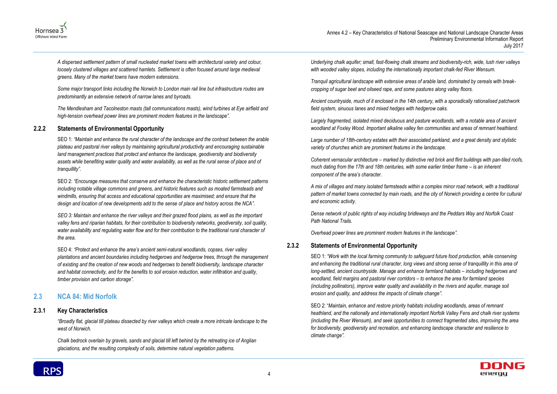



*A dispersed settlement pattern of small nucleated market towns with architectural variety and colour, loosely clustered villages and scattered hamlets. Settlement is often focused around large medieval greens. Many of the market towns have modern extensions.*

*Some major transport links including the Norwich to London main rail line but infrastructure routes are predominantly an extensive network of narrow lanes and byroads.*

*The Mendlesham and Tacolneston masts (tall communications masts), wind turbines at Eye airfield and high-tension overhead power lines are prominent modern features in the landscape".*

#### **2.2.2 Statements of Environmental Opportunity**

SEO 1: *"Maintain and enhance the rural character of the landscape and the contrast between the arable plateau and pastoral river valleys by maintaining agricultural productivity and encouraging sustainable*  land management practices that protect and enhance the landscape, geodiversity and biodiversity *assets while benefiting water quality and water availability, as well as the rural sense of place and of tranquillity".*

SEO 2: *"Encourage measures that conserve and enhance the characteristic historic settlement patterns including notable village commons and greens, and historic features such as moated farmsteads and windmills, ensuring that access and educational opportunities are maximised; and ensure that the design and location of new developments add to the sense of place and history across the NCA".*

*SEO 3: Maintain and enhance the river valleys and their grazed flood plains, as well as the important valley fens and riparian habitats, for their contribution to biodiversity networks, geodiversity, soil quality, water availability and regulating water flow and for their contribution to the traditional rural character of the area.*

SEO 4: *"Protect and enhance the area's ancient semi-natural woodlands, copses, river valley plantations and ancient boundaries including hedgerows and hedgerow trees, through the management of existing and the creation of new woods and hedgerows to benefit biodiversity, landscape character and habitat connectivity, and for the benefits to soil erosion reduction, water infiltration and quality, timber provision and carbon storage".*

### <span id="page-7-0"></span>**2.3 NCA 84: Mid Norfolk**

#### **2.3.1 Key Characteristics**

*"Broadly flat, glacial till plateau dissected by river valleys which create a more intricate landscape to the west of Norwich.*

*Chalk bedrock overlain by gravels, sands and glacial till left behind by the retreating ice of Anglian glaciations, and the resulting complexity of soils, determine natural vegetation patterns.*

*Underlying chalk aquifer; small, fast-flowing chalk streams and biodiversity-rich, wide, lush river valleys with wooded valley slopes, including the internationally important chalk-fed River Wensum.*

*Tranquil agricultural landscape with extensive areas of arable land, dominated by cereals with breakcropping of sugar beet and oilseed rape, and some pastures along valley floors.*

*Ancient countryside, much of it enclosed in the 14th century, with a sporadically rationalised patchwork field system, sinuous lanes and mixed hedges with hedgerow oaks.*

*Largely fragmented, isolated mixed deciduous and pasture woodlands, with a notable area of ancient woodland at Foxley Wood. Important alkaline valley fen communities and areas of remnant heathland.*

*Large number of 18th-century estates with their associated parkland, and a great density and stylistic variety of churches which are prominent features in the landscape.*

*Coherent vernacular architecture – marked by distinctive red brick and flint buildings with pan-tiled roofs, much dating from the 17th and 18th centuries, with some earlier timber frame – is an inherent component of the area's character.*

*A mix of villages and many isolated farmsteads within a complex minor road network, with a traditional pattern of market towns connected by main roads, and the city of Norwich providing a centre for cultural and economic activity.*

*Dense network of public rights of way including bridleways and the Peddars Way and Norfolk Coast Path National Trails.* 

*Overhead power lines are prominent modern features in the landscape".*

#### **2.3.2 Statements of Environmental Opportunity**

SEO 1: *"Work with the local farming community to safeguard future food production, while conserving and enhancing the traditional rural character, long views and strong sense of tranquillity in this area of long-settled, ancient countryside. Manage and enhance farmland habitats – including hedgerows and woodland, field margins and pastoral river corridors – to enhance the area for farmland species (including pollinators), improve water quality and availability in the rivers and aquifer, manage soil erosion and quality, and address the impacts of climate change".*

SEO 2: "*Maintain, enhance and restore priority habitats including woodlands, areas of remnant heathland, and the nationally and internationally important Norfolk Valley Fens and chalk river systems (including the River Wensum), and seek opportunities to connect fragmented sites, improving the area for biodiversity, geodiversity and recreation, and enhancing landscape character and resilience to climate change".*